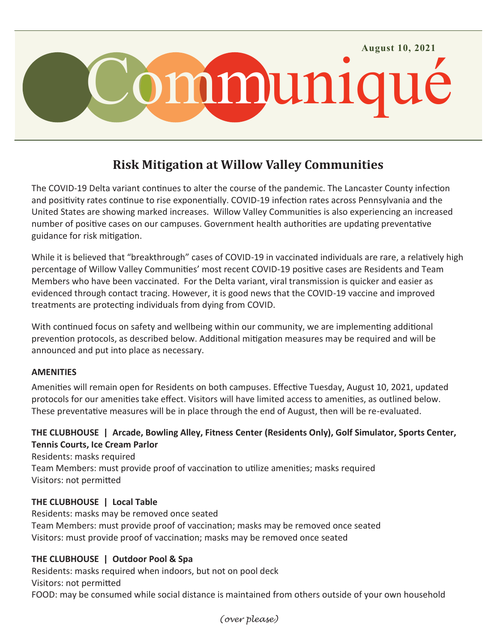

# **Risk Mitigation at Willow Valley Communities**

The COVID-19 Delta variant continues to alter the course of the pandemic. The Lancaster County infection and positivity rates continue to rise exponentially. COVID-19 infection rates across Pennsylvania and the United States are showing marked increases. Willow Valley Communities is also experiencing an increased number of positive cases on our campuses. Government health authorities are updating preventative guidance for risk mitigation.

While it is believed that "breakthrough" cases of COVID-19 in vaccinated individuals are rare, a relatively high percentage of Willow Valley Communities' most recent COVID-19 positive cases are Residents and Team Members who have been vaccinated. For the Delta variant, viral transmission is quicker and easier as evidenced through contact tracing. However, it is good news that the COVID-19 vaccine and improved treatments are protecting individuals from dying from COVID.

With continued focus on safety and wellbeing within our community, we are implementing additional prevention protocols, as described below. Additional mitigation measures may be required and will be announced and put into place as necessary.

## **AMENITIES**

Amenities will remain open for Residents on both campuses. Effective Tuesday, August 10, 2021, updated protocols for our amenities take effect. Visitors will have limited access to amenities, as outlined below. These preventative measures will be in place through the end of August, then will be re-evaluated.

## **THE CLUBHOUSE | Arcade, Bowling Alley, Fitness Center (Residents Only), Golf Simulator, Sports Center, Tennis Courts, Ice Cream Parlor**

Residents: masks required Team Members: must provide proof of vaccination to utilize amenities; masks required Visitors: not permitted

# **THE CLUBHOUSE | Local Table**

Residents: masks may be removed once seated Team Members: must provide proof of vaccination; masks may be removed once seated Visitors: must provide proof of vaccination; masks may be removed once seated

# **THE CLUBHOUSE | Outdoor Pool & Spa**

Residents: masks required when indoors, but not on pool deck Visitors: not permitted FOOD: may be consumed while social distance is maintained from others outside of your own household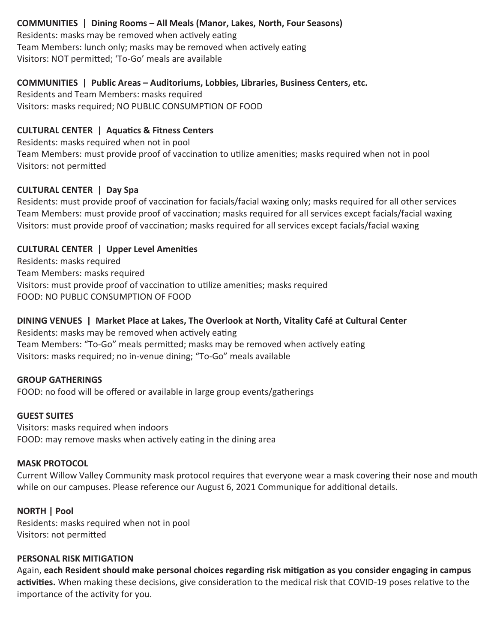## **COMMUNITIES | Dining Rooms – All Meals (Manor, Lakes, North, Four Seasons)**

Residents: masks may be removed when actively eating Team Members: lunch only; masks may be removed when actively eating Visitors: NOT permitted; 'To-Go' meals are available

#### **COMMUNITIES | Public Areas – Auditoriums, Lobbies, Libraries, Business Centers, etc.**

Residents and Team Members: masks required Visitors: masks required; NO PUBLIC CONSUMPTION OF FOOD

## **CULTURAL CENTER | Aquatics & Fitness Centers**

Residents: masks required when not in pool Team Members: must provide proof of vaccination to utilize amenities; masks required when not in pool Visitors: not permitted

## **CULTURAL CENTER | Day Spa**

Residents: must provide proof of vaccination for facials/facial waxing only; masks required for all other services Team Members: must provide proof of vaccination; masks required for all services except facials/facial waxing Visitors: must provide proof of vaccination; masks required for all services except facials/facial waxing

## **CULTURAL CENTER | Upper Level Amenities**

Residents: masks required Team Members: masks required Visitors: must provide proof of vaccination to utilize amenities; masks required FOOD: NO PUBLIC CONSUMPTION OF FOOD

## **DINING VENUES | Market Place at Lakes, The Overlook at North, Vitality Café at Cultural Center**

Residents: masks may be removed when actively eating Team Members: "To-Go" meals permitted; masks may be removed when actively eating Visitors: masks required; no in-venue dining; "To-Go" meals available

## **GROUP GATHERINGS**

FOOD: no food will be offered or available in large group events/gatherings

## **GUEST SUITES**

Visitors: masks required when indoors FOOD: may remove masks when actively eating in the dining area

## **MASK PROTOCOL**

Current Willow Valley Community mask protocol requires that everyone wear a mask covering their nose and mouth while on our campuses. Please reference our August 6, 2021 Communique for additional details.

## **NORTH | Pool**

Residents: masks required when not in pool Visitors: not permitted

## **PERSONAL RISK MITIGATION**

Again, **each Resident should make personal choices regarding risk mitigation as you consider engaging in campus activities.** When making these decisions, give consideration to the medical risk that COVID-19 poses relative to the importance of the activity for you.